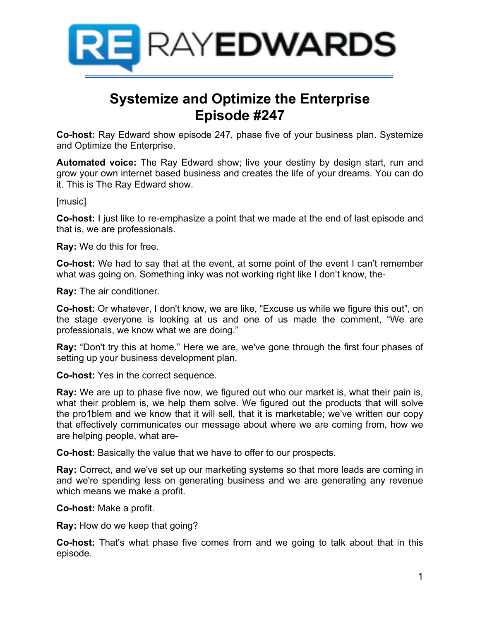

# **Systemize and Optimize the Enterprise Episode #247**

**Co-host:** Ray Edward show episode 247, phase five of your business plan. Systemize and Optimize the Enterprise.

**Automated voice:** The Ray Edward show; live your destiny by design start, run and grow your own internet based business and creates the life of your dreams. You can do it. This is The Ray Edward show.

[music]

**Co-host:** I just like to re-emphasize a point that we made at the end of last episode and that is, we are professionals.

**Ray:** We do this for free.

**Co-host:** We had to say that at the event, at some point of the event I can't remember what was going on. Something inky was not working right like I don't know, the-

**Ray:** The air conditioner.

**Co-host:** Or whatever, I don't know, we are like, "Excuse us while we figure this out", on the stage everyone is looking at us and one of us made the comment, "We are professionals, we know what we are doing."

**Ray:** "Don't try this at home." Here we are, we've gone through the first four phases of setting up your business development plan.

**Co-host:** Yes in the correct sequence.

**Ray:** We are up to phase five now, we figured out who our market is, what their pain is, what their problem is, we help them solve. We figured out the products that will solve the pro1blem and we know that it will sell, that it is marketable; we've written our copy that effectively communicates our message about where we are coming from, how we are helping people, what are-

**Co-host:** Basically the value that we have to offer to our prospects.

**Ray:** Correct, and we've set up our marketing systems so that more leads are coming in and we're spending less on generating business and we are generating any revenue which means we make a profit.

**Co-host:** Make a profit.

**Ray:** How do we keep that going?

**Co-host:** That's what phase five comes from and we going to talk about that in this episode.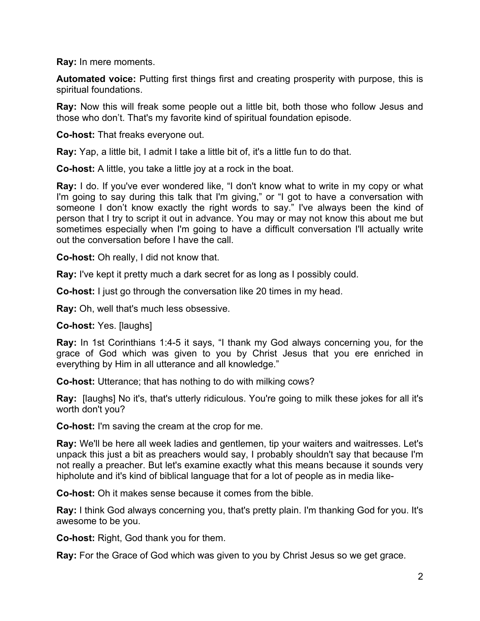**Ray:** In mere moments.

**Automated voice:** Putting first things first and creating prosperity with purpose, this is spiritual foundations.

**Ray:** Now this will freak some people out a little bit, both those who follow Jesus and those who don't. That's my favorite kind of spiritual foundation episode.

**Co-host:** That freaks everyone out.

**Ray:** Yap, a little bit, I admit I take a little bit of, it's a little fun to do that.

**Co-host:** A little, you take a little joy at a rock in the boat.

**Ray:** I do. If you've ever wondered like, "I don't know what to write in my copy or what I'm going to say during this talk that I'm giving," or "I got to have a conversation with someone I don't know exactly the right words to say." I've always been the kind of person that I try to script it out in advance. You may or may not know this about me but sometimes especially when I'm going to have a difficult conversation I'll actually write out the conversation before I have the call.

**Co-host:** Oh really, I did not know that.

**Ray:** I've kept it pretty much a dark secret for as long as I possibly could.

**Co-host:** I just go through the conversation like 20 times in my head.

**Ray:** Oh, well that's much less obsessive.

**Co-host:** Yes. [laughs]

**Ray:** In 1st Corinthians 1:4-5 it says, "I thank my God always concerning you, for the grace of God which was given to you by Christ Jesus that you ere enriched in everything by Him in all utterance and all knowledge."

**Co-host:** Utterance; that has nothing to do with milking cows?

**Ray:** [laughs] No it's, that's utterly ridiculous. You're going to milk these jokes for all it's worth don't you?

**Co-host:** I'm saving the cream at the crop for me.

**Ray:** We'll be here all week ladies and gentlemen, tip your waiters and waitresses. Let's unpack this just a bit as preachers would say, I probably shouldn't say that because I'm not really a preacher. But let's examine exactly what this means because it sounds very hipholute and it's kind of biblical language that for a lot of people as in media like-

**Co-host:** Oh it makes sense because it comes from the bible.

**Ray:** I think God always concerning you, that's pretty plain. I'm thanking God for you. It's awesome to be you.

**Co-host:** Right, God thank you for them.

**Ray:** For the Grace of God which was given to you by Christ Jesus so we get grace.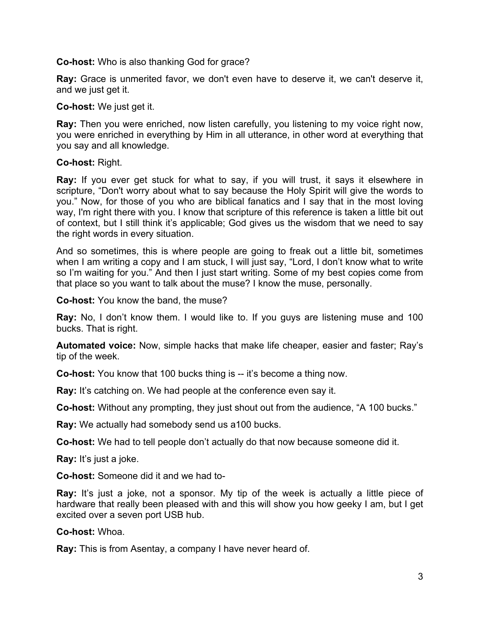**Co-host:** Who is also thanking God for grace?

**Ray:** Grace is unmerited favor, we don't even have to deserve it, we can't deserve it, and we just get it.

**Co-host:** We just get it.

**Ray:** Then you were enriched, now listen carefully, you listening to my voice right now, you were enriched in everything by Him in all utterance, in other word at everything that you say and all knowledge.

**Co-host:** Right.

**Ray:** If you ever get stuck for what to say, if you will trust, it says it elsewhere in scripture, "Don't worry about what to say because the Holy Spirit will give the words to you." Now, for those of you who are biblical fanatics and I say that in the most loving way, I'm right there with you. I know that scripture of this reference is taken a little bit out of context, but I still think it's applicable; God gives us the wisdom that we need to say the right words in every situation.

And so sometimes, this is where people are going to freak out a little bit, sometimes when I am writing a copy and I am stuck, I will just say, "Lord, I don't know what to write so I'm waiting for you." And then I just start writing. Some of my best copies come from that place so you want to talk about the muse? I know the muse, personally.

**Co-host:** You know the band, the muse?

**Ray:** No, I don't know them. I would like to. If you guys are listening muse and 100 bucks. That is right.

**Automated voice:** Now, simple hacks that make life cheaper, easier and faster; Ray's tip of the week.

**Co-host:** You know that 100 bucks thing is -- it's become a thing now.

**Ray:** It's catching on. We had people at the conference even say it.

**Co-host:** Without any prompting, they just shout out from the audience, "A 100 bucks."

**Ray:** We actually had somebody send us a100 bucks.

**Co-host:** We had to tell people don't actually do that now because someone did it.

**Ray:** It's just a joke.

**Co-host:** Someone did it and we had to-

**Ray:** It's just a joke, not a sponsor. My tip of the week is actually a little piece of hardware that really been pleased with and this will show you how geeky I am, but I get excited over a seven port USB hub.

**Co-host:** Whoa.

**Ray:** This is from Asentay, a company I have never heard of.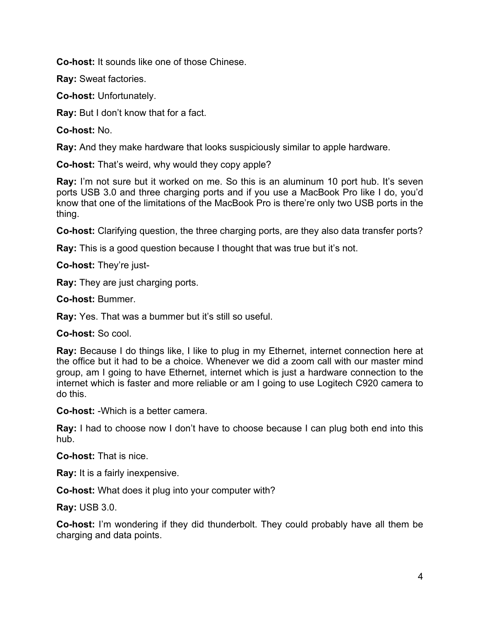**Co-host:** It sounds like one of those Chinese.

**Ray:** Sweat factories.

**Co-host:** Unfortunately.

**Ray:** But I don't know that for a fact.

**Co-host:** No.

**Ray:** And they make hardware that looks suspiciously similar to apple hardware.

**Co-host:** That's weird, why would they copy apple?

**Ray:** I'm not sure but it worked on me. So this is an aluminum 10 port hub. It's seven ports USB 3.0 and three charging ports and if you use a MacBook Pro like I do, you'd know that one of the limitations of the MacBook Pro is there're only two USB ports in the thing.

**Co-host:** Clarifying question, the three charging ports, are they also data transfer ports?

**Ray:** This is a good question because I thought that was true but it's not.

**Co-host:** They're just-

**Ray:** They are just charging ports.

**Co-host:** Bummer.

**Ray:** Yes. That was a bummer but it's still so useful.

**Co-host:** So cool.

**Ray:** Because I do things like, I like to plug in my Ethernet, internet connection here at the office but it had to be a choice. Whenever we did a zoom call with our master mind group, am I going to have Ethernet, internet which is just a hardware connection to the internet which is faster and more reliable or am I going to use Logitech C920 camera to do this.

**Co-host:** -Which is a better camera.

**Ray:** I had to choose now I don't have to choose because I can plug both end into this hub.

**Co-host:** That is nice.

**Ray:** It is a fairly inexpensive.

**Co-host:** What does it plug into your computer with?

**Ray:** USB 3.0.

**Co-host:** I'm wondering if they did thunderbolt. They could probably have all them be charging and data points.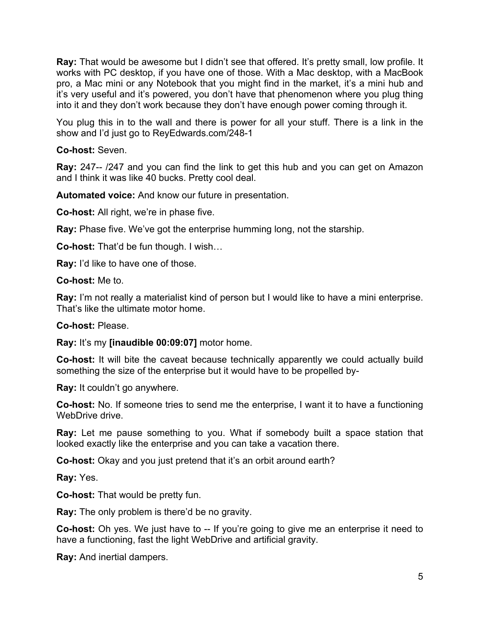**Ray:** That would be awesome but I didn't see that offered. It's pretty small, low profile. It works with PC desktop, if you have one of those. With a Mac desktop, with a MacBook pro, a Mac mini or any Notebook that you might find in the market, it's a mini hub and it's very useful and it's powered, you don't have that phenomenon where you plug thing into it and they don't work because they don't have enough power coming through it.

You plug this in to the wall and there is power for all your stuff. There is a link in the show and I'd just go to ReyEdwards.com/248-1

# **Co-host:** Seven.

**Ray:** 247-- /247 and you can find the link to get this hub and you can get on Amazon and I think it was like 40 bucks. Pretty cool deal.

**Automated voice:** And know our future in presentation.

**Co-host:** All right, we're in phase five.

**Ray:** Phase five. We've got the enterprise humming long, not the starship.

**Co-host:** That'd be fun though. I wish…

**Ray:** I'd like to have one of those.

**Co-host:** Me to.

**Ray:** I'm not really a materialist kind of person but I would like to have a mini enterprise. That's like the ultimate motor home.

**Co-host:** Please.

**Ray:** It's my **[inaudible 00:09:07]** motor home.

**Co-host:** It will bite the caveat because technically apparently we could actually build something the size of the enterprise but it would have to be propelled by-

**Ray:** It couldn't go anywhere.

**Co-host:** No. If someone tries to send me the enterprise, I want it to have a functioning WebDrive drive.

**Ray:** Let me pause something to you. What if somebody built a space station that looked exactly like the enterprise and you can take a vacation there.

**Co-host:** Okay and you just pretend that it's an orbit around earth?

**Ray:** Yes.

**Co-host:** That would be pretty fun.

**Ray:** The only problem is there'd be no gravity.

**Co-host:** Oh yes. We just have to -- If you're going to give me an enterprise it need to have a functioning, fast the light WebDrive and artificial gravity.

**Ray:** And inertial dampers.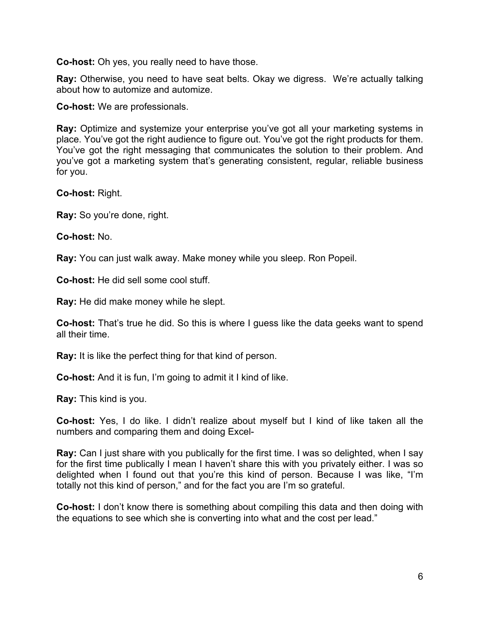**Co-host:** Oh yes, you really need to have those.

**Ray:** Otherwise, you need to have seat belts. Okay we digress. We're actually talking about how to automize and automize.

**Co-host:** We are professionals.

**Ray:** Optimize and systemize your enterprise you've got all your marketing systems in place. You've got the right audience to figure out. You've got the right products for them. You've got the right messaging that communicates the solution to their problem. And you've got a marketing system that's generating consistent, regular, reliable business for you.

**Co-host:** Right.

**Ray:** So you're done, right.

**Co-host:** No.

**Ray:** You can just walk away. Make money while you sleep. Ron Popeil.

**Co-host:** He did sell some cool stuff.

**Ray:** He did make money while he slept.

**Co-host:** That's true he did. So this is where I guess like the data geeks want to spend all their time.

**Ray:** It is like the perfect thing for that kind of person.

**Co-host:** And it is fun, I'm going to admit it I kind of like.

**Ray:** This kind is you.

**Co-host:** Yes, I do like. I didn't realize about myself but I kind of like taken all the numbers and comparing them and doing Excel-

**Ray:** Can I just share with you publically for the first time. I was so delighted, when I say for the first time publically I mean I haven't share this with you privately either. I was so delighted when I found out that you're this kind of person. Because I was like, "I'm totally not this kind of person," and for the fact you are I'm so grateful.

**Co-host:** I don't know there is something about compiling this data and then doing with the equations to see which she is converting into what and the cost per lead."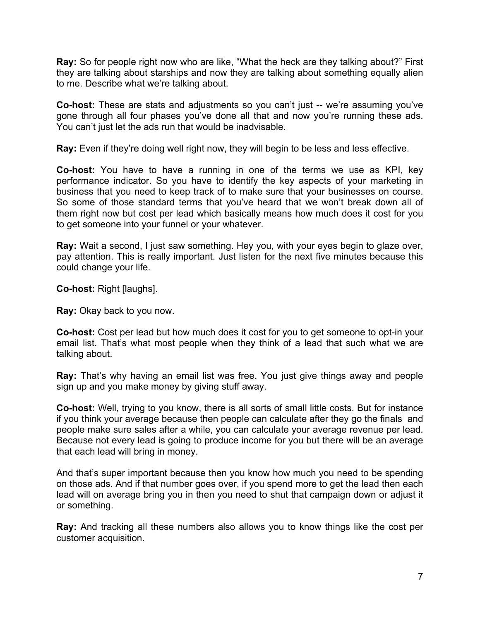**Ray:** So for people right now who are like, "What the heck are they talking about?" First they are talking about starships and now they are talking about something equally alien to me. Describe what we're talking about.

**Co-host:** These are stats and adjustments so you can't just -- we're assuming you've gone through all four phases you've done all that and now you're running these ads. You can't just let the ads run that would be inadvisable.

**Ray:** Even if they're doing well right now, they will begin to be less and less effective.

**Co-host:** You have to have a running in one of the terms we use as KPI, key performance indicator. So you have to identify the key aspects of your marketing in business that you need to keep track of to make sure that your businesses on course. So some of those standard terms that you've heard that we won't break down all of them right now but cost per lead which basically means how much does it cost for you to get someone into your funnel or your whatever.

**Ray:** Wait a second, I just saw something. Hey you, with your eyes begin to glaze over, pay attention. This is really important. Just listen for the next five minutes because this could change your life.

**Co-host:** Right [laughs].

**Ray:** Okay back to you now.

**Co-host:** Cost per lead but how much does it cost for you to get someone to opt-in your email list. That's what most people when they think of a lead that such what we are talking about.

**Ray:** That's why having an email list was free. You just give things away and people sign up and you make money by giving stuff away.

**Co-host:** Well, trying to you know, there is all sorts of small little costs. But for instance if you think your average because then people can calculate after they go the finals and people make sure sales after a while, you can calculate your average revenue per lead. Because not every lead is going to produce income for you but there will be an average that each lead will bring in money.

And that's super important because then you know how much you need to be spending on those ads. And if that number goes over, if you spend more to get the lead then each lead will on average bring you in then you need to shut that campaign down or adjust it or something.

**Ray:** And tracking all these numbers also allows you to know things like the cost per customer acquisition.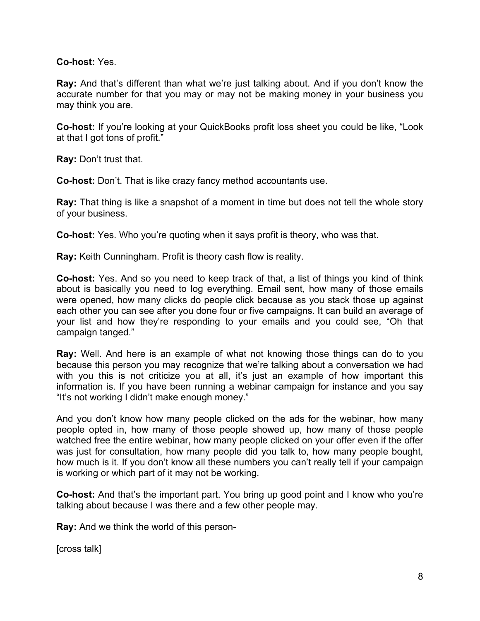### **Co-host:** Yes.

**Ray:** And that's different than what we're just talking about. And if you don't know the accurate number for that you may or may not be making money in your business you may think you are.

**Co-host:** If you're looking at your QuickBooks profit loss sheet you could be like, "Look at that I got tons of profit."

**Ray:** Don't trust that.

**Co-host:** Don't. That is like crazy fancy method accountants use.

**Ray:** That thing is like a snapshot of a moment in time but does not tell the whole story of your business.

**Co-host:** Yes. Who you're quoting when it says profit is theory, who was that.

**Ray:** Keith Cunningham. Profit is theory cash flow is reality.

**Co-host:** Yes. And so you need to keep track of that, a list of things you kind of think about is basically you need to log everything. Email sent, how many of those emails were opened, how many clicks do people click because as you stack those up against each other you can see after you done four or five campaigns. It can build an average of your list and how they're responding to your emails and you could see, "Oh that campaign tanged."

**Ray:** Well. And here is an example of what not knowing those things can do to you because this person you may recognize that we're talking about a conversation we had with you this is not criticize you at all, it's just an example of how important this information is. If you have been running a webinar campaign for instance and you say "It's not working I didn't make enough money."

And you don't know how many people clicked on the ads for the webinar, how many people opted in, how many of those people showed up, how many of those people watched free the entire webinar, how many people clicked on your offer even if the offer was just for consultation, how many people did you talk to, how many people bought, how much is it. If you don't know all these numbers you can't really tell if your campaign is working or which part of it may not be working.

**Co-host:** And that's the important part. You bring up good point and I know who you're talking about because I was there and a few other people may.

**Ray:** And we think the world of this person-

[cross talk]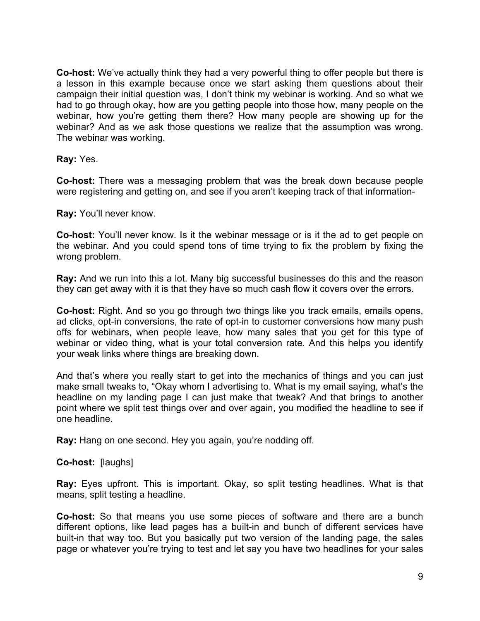**Co-host:** We've actually think they had a very powerful thing to offer people but there is a lesson in this example because once we start asking them questions about their campaign their initial question was, I don't think my webinar is working. And so what we had to go through okay, how are you getting people into those how, many people on the webinar, how you're getting them there? How many people are showing up for the webinar? And as we ask those questions we realize that the assumption was wrong. The webinar was working.

**Ray:** Yes.

**Co-host:** There was a messaging problem that was the break down because people were registering and getting on, and see if you aren't keeping track of that information-

**Ray:** You'll never know.

**Co-host:** You'll never know. Is it the webinar message or is it the ad to get people on the webinar. And you could spend tons of time trying to fix the problem by fixing the wrong problem.

**Ray:** And we run into this a lot. Many big successful businesses do this and the reason they can get away with it is that they have so much cash flow it covers over the errors.

**Co-host:** Right. And so you go through two things like you track emails, emails opens, ad clicks, opt-in conversions, the rate of opt-in to customer conversions how many push offs for webinars, when people leave, how many sales that you get for this type of webinar or video thing, what is your total conversion rate. And this helps you identify your weak links where things are breaking down.

And that's where you really start to get into the mechanics of things and you can just make small tweaks to, "Okay whom I advertising to. What is my email saying, what's the headline on my landing page I can just make that tweak? And that brings to another point where we split test things over and over again, you modified the headline to see if one headline.

**Ray:** Hang on one second. Hey you again, you're nodding off.

**Co-host:** [laughs]

**Ray:** Eyes upfront. This is important. Okay, so split testing headlines. What is that means, split testing a headline.

**Co-host:** So that means you use some pieces of software and there are a bunch different options, like lead pages has a built-in and bunch of different services have built-in that way too. But you basically put two version of the landing page, the sales page or whatever you're trying to test and let say you have two headlines for your sales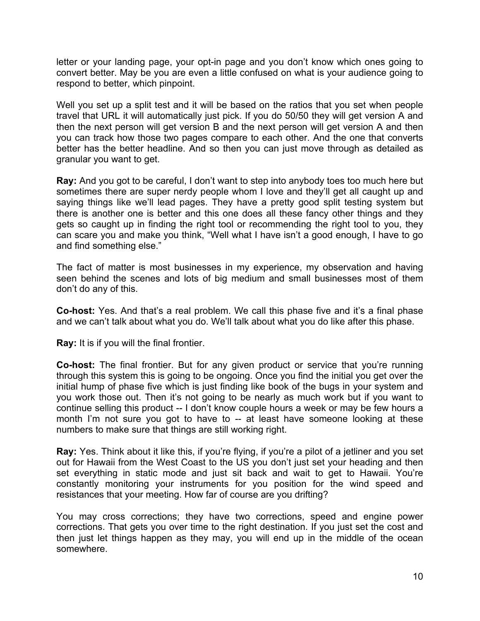letter or your landing page, your opt-in page and you don't know which ones going to convert better. May be you are even a little confused on what is your audience going to respond to better, which pinpoint.

Well you set up a split test and it will be based on the ratios that you set when people travel that URL it will automatically just pick. If you do 50/50 they will get version A and then the next person will get version B and the next person will get version A and then you can track how those two pages compare to each other. And the one that converts better has the better headline. And so then you can just move through as detailed as granular you want to get.

**Ray:** And you got to be careful, I don't want to step into anybody toes too much here but sometimes there are super nerdy people whom I love and they'll get all caught up and saying things like we'll lead pages. They have a pretty good split testing system but there is another one is better and this one does all these fancy other things and they gets so caught up in finding the right tool or recommending the right tool to you, they can scare you and make you think, "Well what I have isn't a good enough, I have to go and find something else."

The fact of matter is most businesses in my experience, my observation and having seen behind the scenes and lots of big medium and small businesses most of them don't do any of this.

**Co-host:** Yes. And that's a real problem. We call this phase five and it's a final phase and we can't talk about what you do. We'll talk about what you do like after this phase.

**Ray:** It is if you will the final frontier.

**Co-host:** The final frontier. But for any given product or service that you're running through this system this is going to be ongoing. Once you find the initial you get over the initial hump of phase five which is just finding like book of the bugs in your system and you work those out. Then it's not going to be nearly as much work but if you want to continue selling this product -- I don't know couple hours a week or may be few hours a month I'm not sure you got to have to -- at least have someone looking at these numbers to make sure that things are still working right.

**Ray:** Yes. Think about it like this, if you're flying, if you're a pilot of a jetliner and you set out for Hawaii from the West Coast to the US you don't just set your heading and then set everything in static mode and just sit back and wait to get to Hawaii. You're constantly monitoring your instruments for you position for the wind speed and resistances that your meeting. How far of course are you drifting?

You may cross corrections; they have two corrections, speed and engine power corrections. That gets you over time to the right destination. If you just set the cost and then just let things happen as they may, you will end up in the middle of the ocean somewhere.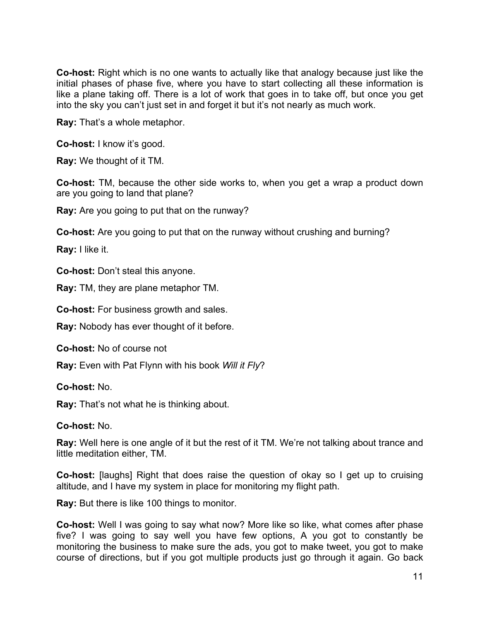**Co-host:** Right which is no one wants to actually like that analogy because just like the initial phases of phase five, where you have to start collecting all these information is like a plane taking off. There is a lot of work that goes in to take off, but once you get into the sky you can't just set in and forget it but it's not nearly as much work.

**Ray:** That's a whole metaphor.

**Co-host:** I know it's good.

**Ray:** We thought of it TM.

**Co-host:** TM, because the other side works to, when you get a wrap a product down are you going to land that plane?

**Ray:** Are you going to put that on the runway?

**Co-host:** Are you going to put that on the runway without crushing and burning?

**Ray:** I like it.

**Co-host:** Don't steal this anyone.

**Ray:** TM, they are plane metaphor TM.

**Co-host:** For business growth and sales.

**Ray:** Nobody has ever thought of it before.

**Co-host:** No of course not

**Ray:** Even with Pat Flynn with his book *Will it Fly*?

**Co-host:** No.

**Ray:** That's not what he is thinking about.

**Co-host:** No.

**Ray:** Well here is one angle of it but the rest of it TM. We're not talking about trance and little meditation either, TM.

**Co-host:** [laughs] Right that does raise the question of okay so I get up to cruising altitude, and I have my system in place for monitoring my flight path.

**Ray:** But there is like 100 things to monitor.

**Co-host:** Well I was going to say what now? More like so like, what comes after phase five? I was going to say well you have few options, A you got to constantly be monitoring the business to make sure the ads, you got to make tweet, you got to make course of directions, but if you got multiple products just go through it again. Go back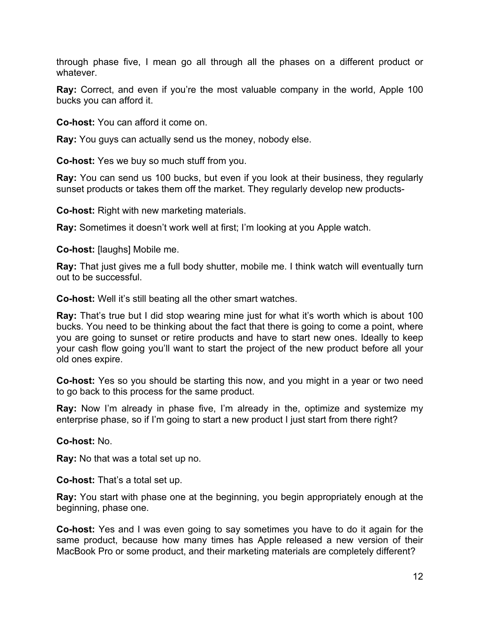through phase five, I mean go all through all the phases on a different product or whatever.

**Ray:** Correct, and even if you're the most valuable company in the world, Apple 100 bucks you can afford it.

**Co-host:** You can afford it come on.

**Ray:** You guys can actually send us the money, nobody else.

**Co-host:** Yes we buy so much stuff from you.

**Ray:** You can send us 100 bucks, but even if you look at their business, they regularly sunset products or takes them off the market. They regularly develop new products-

**Co-host:** Right with new marketing materials.

**Ray:** Sometimes it doesn't work well at first; I'm looking at you Apple watch.

**Co-host:** [laughs] Mobile me.

**Ray:** That just gives me a full body shutter, mobile me. I think watch will eventually turn out to be successful.

**Co-host:** Well it's still beating all the other smart watches.

**Ray:** That's true but I did stop wearing mine just for what it's worth which is about 100 bucks. You need to be thinking about the fact that there is going to come a point, where you are going to sunset or retire products and have to start new ones. Ideally to keep your cash flow going you'll want to start the project of the new product before all your old ones expire.

**Co-host:** Yes so you should be starting this now, and you might in a year or two need to go back to this process for the same product.

**Ray:** Now I'm already in phase five, I'm already in the, optimize and systemize my enterprise phase, so if I'm going to start a new product I just start from there right?

**Co-host:** No.

**Ray:** No that was a total set up no.

**Co-host:** That's a total set up.

**Ray:** You start with phase one at the beginning, you begin appropriately enough at the beginning, phase one.

**Co-host:** Yes and I was even going to say sometimes you have to do it again for the same product, because how many times has Apple released a new version of their MacBook Pro or some product, and their marketing materials are completely different?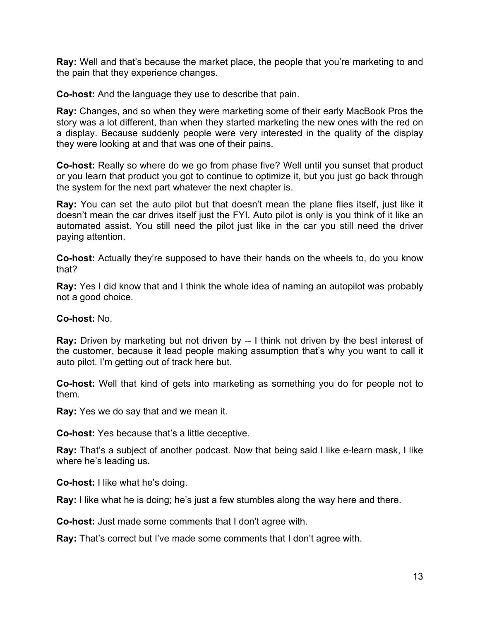**Ray:** Well and that's because the market place, the people that you're marketing to and the pain that they experience changes.

**Co-host:** And the language they use to describe that pain.

**Ray:** Changes, and so when they were marketing some of their early MacBook Pros the story was a lot different, than when they started marketing the new ones with the red on a display. Because suddenly people were very interested in the quality of the display they were looking at and that was one of their pains.

**Co-host:** Really so where do we go from phase five? Well until you sunset that product or you learn that product you got to continue to optimize it, but you just go back through the system for the next part whatever the next chapter is.

**Ray:** You can set the auto pilot but that doesn't mean the plane flies itself, just like it doesn't mean the car drives itself just the FYI. Auto pilot is only is you think of it like an automated assist. You still need the pilot just like in the car you still need the driver paying attention.

**Co-host:** Actually they're supposed to have their hands on the wheels to, do you know that?

**Ray:** Yes I did know that and I think the whole idea of naming an autopilot was probably not a good choice.

#### **Co-host:** No.

**Ray:** Driven by marketing but not driven by -- I think not driven by the best interest of the customer, because it lead people making assumption that's why you want to call it auto pilot. I'm getting out of track here but.

**Co-host:** Well that kind of gets into marketing as something you do for people not to them.

**Ray:** Yes we do say that and we mean it.

**Co-host:** Yes because that's a little deceptive.

**Ray:** That's a subject of another podcast. Now that being said I like e-learn mask, I like where he's leading us.

**Co-host:** I like what he's doing.

**Ray:** I like what he is doing; he's just a few stumbles along the way here and there.

**Co-host:** Just made some comments that I don't agree with.

**Ray:** That's correct but I've made some comments that I don't agree with.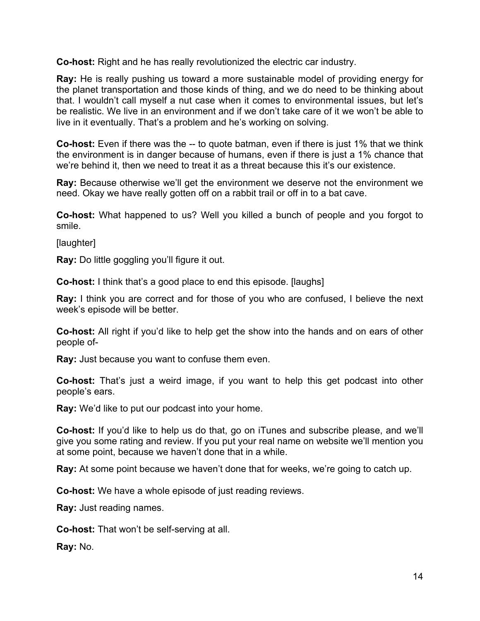**Co-host:** Right and he has really revolutionized the electric car industry.

**Ray:** He is really pushing us toward a more sustainable model of providing energy for the planet transportation and those kinds of thing, and we do need to be thinking about that. I wouldn't call myself a nut case when it comes to environmental issues, but let's be realistic. We live in an environment and if we don't take care of it we won't be able to live in it eventually. That's a problem and he's working on solving.

**Co-host:** Even if there was the -- to quote batman, even if there is just 1% that we think the environment is in danger because of humans, even if there is just a 1% chance that we're behind it, then we need to treat it as a threat because this it's our existence.

**Ray:** Because otherwise we'll get the environment we deserve not the environment we need. Okay we have really gotten off on a rabbit trail or off in to a bat cave.

**Co-host:** What happened to us? Well you killed a bunch of people and you forgot to smile.

[laughter]

**Ray:** Do little goggling you'll figure it out.

**Co-host:** I think that's a good place to end this episode. [laughs]

**Ray:** I think you are correct and for those of you who are confused, I believe the next week's episode will be better.

**Co-host:** All right if you'd like to help get the show into the hands and on ears of other people of-

**Ray:** Just because you want to confuse them even.

**Co-host:** That's just a weird image, if you want to help this get podcast into other people's ears.

**Ray:** We'd like to put our podcast into your home.

**Co-host:** If you'd like to help us do that, go on iTunes and subscribe please, and we'll give you some rating and review. If you put your real name on website we'll mention you at some point, because we haven't done that in a while.

**Ray:** At some point because we haven't done that for weeks, we're going to catch up.

**Co-host:** We have a whole episode of just reading reviews.

**Ray:** Just reading names.

**Co-host:** That won't be self-serving at all.

**Ray:** No.